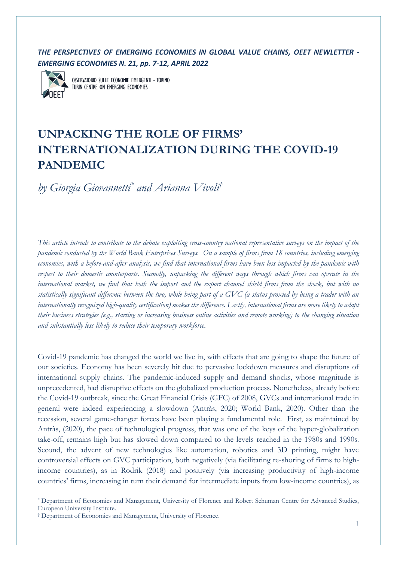*THE PERSPECTIVES OF EMERGING ECONOMIES IN GLOBAL VALUE CHAINS, OEET NEWLETTER - EMERGING ECONOMIES N. 21, pp. 7-12, APRIL 2022*



OSSERVATORIO SULLE ECONOMIE EMERGENTI - TORINO TURIN CENTRE ON EMERGING ECONOMIES

# **UNPACKING THE ROLE OF FIRMS' INTERNATIONALIZATION DURING THE COVID-19 PANDEMIC**

*by Giorgia Giovannetti\* and Arianna Vivoli †*

*This article intends to contribute to the debate exploiting cross-country national representative surveys on the impact of the pandemic conducted by the World Bank Enterprises Surveys. On a sample of firms from 18 countries, including emerging economies, with a before-and-after analysis, we find that international firms have been less impacted by the pandemic with respect to their domestic counterparts. Secondly, unpacking the different ways through which firms can operate in the international market, we find that both the import and the export channel shield firms from the shock, but with no statistically significant difference between the two, while being part of a GVC (a status proxied by being a trader with an internationally recognized high-quality certification) makes the difference. Lastly, international firms are more likely to adapt their business strategies (e.g., starting or increasing business online activities and remote working) to the changing situation and substantially less likely to reduce their temporary workforce.*

Covid-19 pandemic has changed the world we live in, with effects that are going to shape the future of our societies. Economy has been severely hit due to pervasive lockdown measures and disruptions of international supply chains. The pandemic-induced supply and demand shocks, whose magnitude is unprecedented, had disruptive effects on the globalized production process. Nonetheless, already before the Covid-19 outbreak, since the Great Financial Crisis (GFC) of 2008, GVCs and international trade in general were indeed experiencing a slowdown (Antràs, 2020; World Bank, 2020). Other than the recession, several game-changer forces have been playing a fundamental role. First, as maintained by Antràs, (2020), the pace of technological progress, that was one of the keys of the hyper-globalization take-off, remains high but has slowed down compared to the levels reached in the 1980s and 1990s. Second, the advent of new technologies like automation, robotics and 3D printing, might have controversial effects on GVC participation, both negatively (via facilitating re-shoring of firms to highincome countries), as in Rodrik (2018) and positively (via increasing productivity of high-income countries' firms, increasing in turn their demand for intermediate inputs from low-income countries), as

<sup>\*</sup> Department of Economics and Management, University of Florence and Robert Schuman Centre for Advanced Studies, European University Institute.

<sup>†</sup> Department of Economics and Management, University of Florence.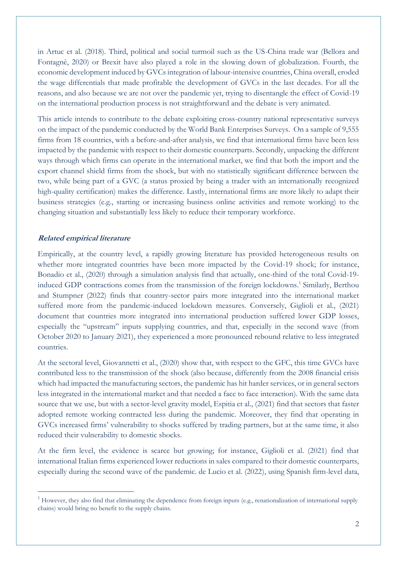in Artuc et al. (2018). Third, political and social turmoil such as the US-China trade war (Bellora and Fontagnè, 2020) or Brexit have also played a role in the slowing down of globalization. Fourth, the economic development induced by GVCs integration of labour-intensive countries, China overall, eroded the wage differentials that made profitable the development of GVCs in the last decades. For all the reasons, and also because we are not over the pandemic yet, trying to disentangle the effect of Covid-19 on the international production process is not straightforward and the debate is very animated.

This article intends to contribute to the debate exploiting cross-country national representative surveys on the impact of the pandemic conducted by the World Bank Enterprises Surveys. On a sample of 9,555 firms from 18 countries, with a before-and-after analysis, we find that international firms have been less impacted by the pandemic with respect to their domestic counterparts. Secondly, unpacking the different ways through which firms can operate in the international market, we find that both the import and the export channel shield firms from the shock, but with no statistically significant difference between the two, while being part of a GVC (a status proxied by being a trader with an internationally recognized high-quality certification) makes the difference. Lastly, international firms are more likely to adapt their business strategies (e.g., starting or increasing business online activities and remote working) to the changing situation and substantially less likely to reduce their temporary workforce.

### **Related empirical literature**

Empirically, at the country level, a rapidly growing literature has provided heterogeneous results on whether more integrated countries have been more impacted by the Covid-19 shock; for instance, Bonadio et al., (2020) through a simulation analysis find that actually, one-third of the total Covid-19 induced GDP contractions comes from the transmission of the foreign lockdowns. 1 Similarly, Berthou and Stumpner (2022) finds that country-sector pairs more integrated into the international market suffered more from the pandemic-induced lockdown measures. Conversely, Giglioli et al., (2021) document that countries more integrated into international production suffered lower GDP losses, especially the "upstream" inputs supplying countries, and that, especially in the second wave (from October 2020 to January 2021), they experienced a more pronounced rebound relative to less integrated countries.

At the sectoral level, Giovannetti et al., (2020) show that, with respect to the GFC, this time GVCs have contributed less to the transmission of the shock (also because, differently from the 2008 financial crisis which had impacted the manufacturing sectors, the pandemic has hit harder services, or in general sectors less integrated in the international market and that needed a face to face interaction). With the same data source that we use, but with a sector-level gravity model, Espitia et al., (2021) find that sectors that faster adopted remote working contracted less during the pandemic. Moreover, they find that operating in GVCs increased firms' vulnerability to shocks suffered by trading partners, but at the same time, it also reduced their vulnerability to domestic shocks.

At the firm level, the evidence is scarce but growing; for instance, Giglioli et al. (2021) find that international Italian firms experienced lower reductions in sales compared to their domestic counterparts, especially during the second wave of the pandemic. de Lucio et al. (2022), using Spanish firm-level data,

<sup>&</sup>lt;sup>1</sup> However, they also find that eliminating the dependence from foreign inputs (e.g., renationalization of international supply chains) would bring no benefit to the supply chains.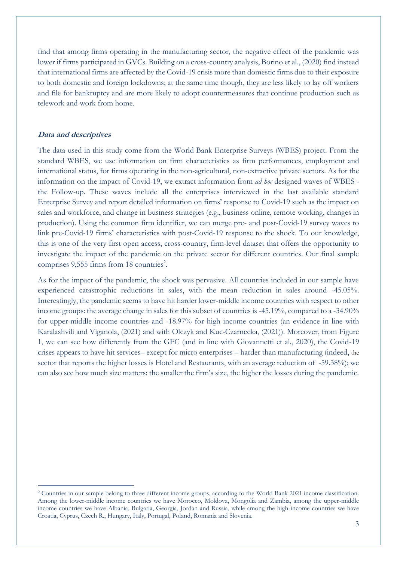find that among firms operating in the manufacturing sector, the negative effect of the pandemic was lower if firms participated in GVCs. Building on a cross-country analysis, Borino et al., (2020) find instead that international firms are affected by the Covid-19 crisis more than domestic firms due to their exposure to both domestic and foreign lockdowns; at the same time though, they are less likely to lay off workers and file for bankruptcy and are more likely to adopt countermeasures that continue production such as telework and work from home.

# **Data and descriptives**

The data used in this study come from the World Bank Enterprise Surveys (WBES) project. From the standard WBES, we use information on firm characteristics as firm performances, employment and international status, for firms operating in the non-agricultural, non-extractive private sectors. As for the information on the impact of Covid-19, we extract information from *ad hoc* designed waves of WBES the Follow-up. These waves include all the enterprises interviewed in the last available standard Enterprise Survey and report detailed information on firms' response to Covid-19 such as the impact on sales and workforce, and change in business strategies (e.g., business online, remote working, changes in production). Using the common firm identifier, we can merge pre- and post-Covid-19 survey waves to link pre-Covid-19 firms' characteristics with post-Covid-19 response to the shock. To our knowledge, this is one of the very first open access, cross-country, firm-level dataset that offers the opportunity to investigate the impact of the pandemic on the private sector for different countries. Our final sample comprises 9,555 firms from 18 countries<sup>2</sup>.

As for the impact of the pandemic, the shock was pervasive. All countries included in our sample have experienced catastrophic reductions in sales, with the mean reduction in sales around -45.05%. Interestingly, the pandemic seems to have hit harder lower-middle income countries with respect to other income groups: the average change in sales for this subset of countries is -45.19%, compared to a -34.90% for upper-middle income countries and -18.97% for high income countries (an evidence in line with Karalashvili and Viganola, (2021) and with Olczyk and Kuc-Czarnecka, (2021)). Moreover, from Figure 1, we can see how differently from the GFC (and in line with Giovannetti et al., 2020), the Covid-19 crises appears to have hit services– except for micro enterprises – harder than manufacturing (indeed, the sector that reports the higher losses is Hotel and Restaurants, with an average reduction of -59.38%); we can also see how much size matters: the smaller the firm's size, the higher the losses during the pandemic.

<sup>2</sup> Countries in our sample belong to three different income groups, according to the World Bank 2021 income classification. Among the lower-middle income countries we have Morocco, Moldova, Mongolia and Zambia, among the upper-middle income countries we have Albania, Bulgaria, Georgia, Jordan and Russia, while among the high-income countries we have Croatia, Cyprus, Czech R., Hungary, Italy, Portugal, Poland, Romania and Slovenia.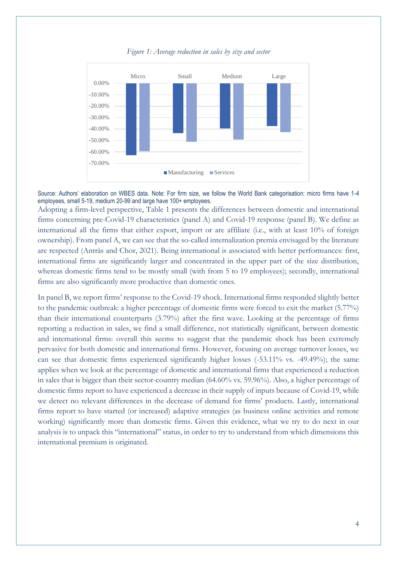

*Figure 1: Average reduction in sales by size and sector* 

Source: Authors' elaboration on WBES data. Note: For firm size, we follow the World Bank categorisation: micro firms have 1-4 employees, small 5-19, medium 20-99 and large have 100+ employees.

Adopting a firm-level perspective, Table 1 presents the differences between domestic and international firms concerning pre-Covid-19 characteristics (panel A) and Covid-19 response (panel B). We define as international all the firms that either export, import or are affiliate (i.e., with at least 10% of foreign ownership). From panel A, we can see that the so-called internalization premia envisaged by the literature are respected (Antràs and Chor, 2021). Being international is associated with better performances: first, international firms are significantly larger and concentrated in the upper part of the size distribution, whereas domestic firms tend to be mostly small (with from 5 to 19 employees); secondly, international firms are also significantly more productive than domestic ones.

In panel B, we report firms' response to the Covid-19 shock. International firms responded slightly better to the pandemic outbreak: a higher percentage of domestic firms were forced to exit the market (5.77%) than their international counterparts (3.79%) after the first wave. Looking at the percentage of firms reporting a reduction in sales, we find a small difference, not statistically significant, between domestic and international firms: overall this seems to suggest that the pandemic shock has been extremely pervasive for both domestic and international firms. However, focusing on average turnover losses, we can see that domestic firms experienced significantly higher losses (-53.11% vs. -49.49%); the same applies when we look at the percentage of domestic and international firms that experienced a reduction in sales that is bigger than their sector-country median (64.60% vs. 59.96%). Also, a higher percentage of domestic firms report to have experienced a decrease in their supply of inputs because of Covid-19, while we detect no relevant differences in the decrease of demand for firms' products. Lastly, international firms report to have started (or increased) adaptive strategies (as business online activities and remote working) significantly more than domestic firms. Given this evidence, what we try to do next in our analysis is to unpack this "international" status, in order to try to understand from which dimensions this international premium is originated.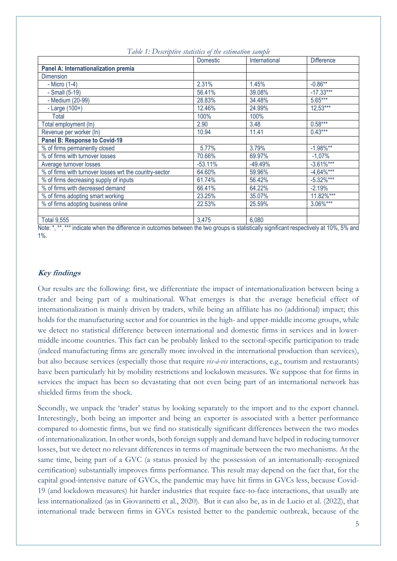|                                                        | Domestic  | International | <b>Difference</b> |
|--------------------------------------------------------|-----------|---------------|-------------------|
| Panel A: Internationalization premia                   |           |               |                   |
| <b>Dimension</b>                                       |           |               |                   |
| - Micro (1-4)                                          | 2.31%     | 1.45%         | $-0.86**$         |
| - Small (5-19)                                         | 56.41%    | 39.08%        | $-17.33***$       |
| - Medium (20-99)                                       | 28.83%    | 34.48%        | $5.65***$         |
| $-Large(100+)$                                         | 12.46%    | 24.99%        | $12,53***$        |
| Total                                                  | 100%      | 100%          |                   |
| Total employment (In)                                  | 2.90      | 3.48          | $0.58***$         |
| Revenue per worker (In)                                | 10.94     | 11.41         | $0.43***$         |
| <b>Panel B: Response to Covid-19</b>                   |           |               |                   |
| % of firms permanently closed                          | 5.77%     | 3.79%         | $-1.98%$ **       |
| % of firms with turnover losses                        | 70.66%    | 69.97%        | $-1,07%$          |
| Average turnover losses                                | $-53.11%$ | $-49.49%$     | $-3.61\%***$      |
| % of firms with turnover losses wrt the country-sector | 64.60%    | 59.96%        | $-4,64\%***$      |
| % of firms decreasing supply of inputs                 | 61.74%    | 56.42%        | $-5.32\%***$      |
| % of firms with decreased demand                       | 66.41%    | 64.22%        | $-2.19%$          |
| % of firms adopting smart working                      | 23.25%    | 35.07%        | $11.82\%***$      |
| % of firms adopting business online                    | 22.53%    | 25.59%        | 3.06%***          |
|                                                        |           |               |                   |
| <b>Total 9,555</b>                                     | 3,475     | 6,080         |                   |

*Table 1: Descriptive statistics of the estimation sample*

Note: \*, \*\*, \*\*\* indicate when the difference in outcomes between the two groups is statistically significant respectively at 10%, 5% and 1%.

# **Key findings**

Our results are the following: first, we differentiate the impact of internationalization between being a trader and being part of a multinational. What emerges is that the average beneficial effect of internationalization is mainly driven by traders, while being an affiliate has no (additional) impact; this holds for the manufacturing sector and for countries in the high- and upper-middle income groups, while we detect no statistical difference between international and domestic firms in services and in lowermiddle income countries. This fact can be probably linked to the sectoral-specific participation to trade (indeed manufacturing firms are generally more involved in the international production than services), but also because services (especially those that require *vis-à-vis* interactions, e.g., tourism and restaurants) have been particularly hit by mobility restrictions and lockdown measures. We suppose that for firms in services the impact has been so devastating that not even being part of an international network has shielded firms from the shock.

Secondly, we unpack the 'trader' status by looking separately to the import and to the export channel. Interestingly, both being an importer and being an exporter is associated with a better performance compared to domestic firms, but we find no statistically significant differences between the two modes of internationalization. In other words, both foreign supply and demand have helped in reducing turnover losses, but we detect no relevant differences in terms of magnitude between the two mechanisms. At the same time, being part of a GVC (a status proxied by the possession of an internationally-recognized certification) substantially improves firms performance. This result may depend on the fact that, for the capital good-intensive nature of GVCs, the pandemic may have hit firms in GVCs less, because Covid-19 (and lockdown measures) hit harder industries that require face-to-face interactions, that usually are less internationalized (as in Giovannetti et al., 2020). But it can also be, as in de Lucio et al. (2022), that international trade between firms in GVCs resisted better to the pandemic outbreak, because of the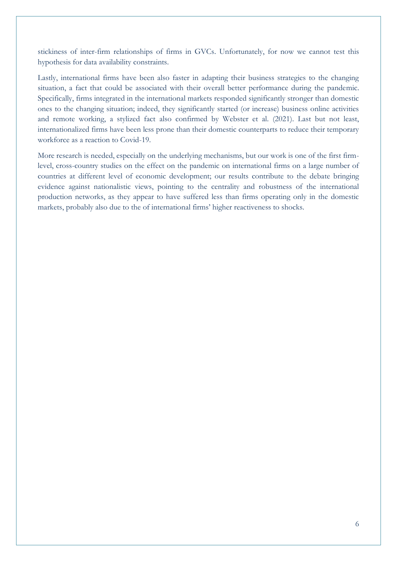stickiness of inter-firm relationships of firms in GVCs. Unfortunately, for now we cannot test this hypothesis for data availability constraints.

Lastly, international firms have been also faster in adapting their business strategies to the changing situation, a fact that could be associated with their overall better performance during the pandemic. Specifically, firms integrated in the international markets responded significantly stronger than domestic ones to the changing situation; indeed, they significantly started (or increase) business online activities and remote working, a stylized fact also confirmed by Webster et al. (2021). Last but not least, internationalized firms have been less prone than their domestic counterparts to reduce their temporary workforce as a reaction to Covid-19.

More research is needed, especially on the underlying mechanisms, but our work is one of the first firmlevel, cross-country studies on the effect on the pandemic on international firms on a large number of countries at different level of economic development; our results contribute to the debate bringing evidence against nationalistic views, pointing to the centrality and robustness of the international production networks, as they appear to have suffered less than firms operating only in the domestic markets, probably also due to the of international firms' higher reactiveness to shocks.